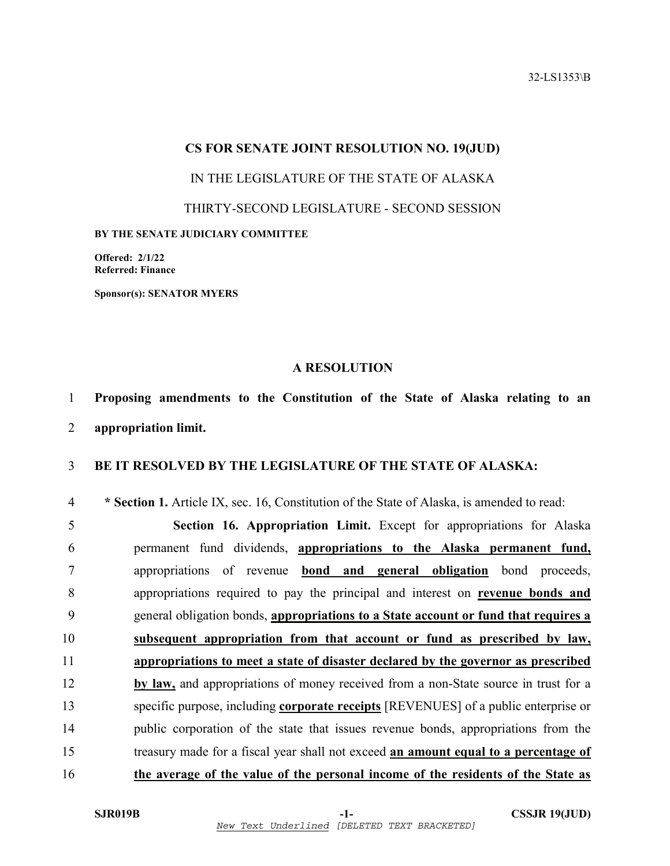32-LS1353\B

## **CS FOR SENATE JOINT RESOLUTION NO. 19(JUD)**

IN THE LEGISLATURE OF THE STATE OF ALASKA

THIRTY-SECOND LEGISLATURE - SECOND SESSION

**BY THE SENATE JUDICIARY COMMITTEE** 

**Offered: 2/1/22 Referred: Finance** 

**Sponsor(s): SENATOR MYERS** 

## **A RESOLUTION**

1 **Proposing amendments to the Constitution of the State of Alaska relating to an** 

2 **appropriation limit.** 

## 3 **BE IT RESOLVED BY THE LEGISLATURE OF THE STATE OF ALASKA:**

4 **\* Section 1.** Article IX, sec. 16, Constitution of the State of Alaska, is amended to read:

5 **Section 16. Appropriation Limit.** Except for appropriations for Alaska 6 permanent fund dividends, **appropriations to the Alaska permanent fund,** 7 appropriations of revenue **bond and general obligation** bond proceeds, 8 appropriations required to pay the principal and interest on **revenue bonds and** 9 general obligation bonds, **appropriations to a State account or fund that requires a**  10 **subsequent appropriation from that account or fund as prescribed by law,**  11 **appropriations to meet a state of disaster declared by the governor as prescribed**  12 **by law,** and appropriations of money received from a non-State source in trust for a 13 specific purpose, including **corporate receipts** [REVENUES] of a public enterprise or 14 public corporation of the state that issues revenue bonds, appropriations from the 15 treasury made for a fiscal year shall not exceed **an amount equal to a percentage of**  16 **the average of the value of the personal income of the residents of the State as**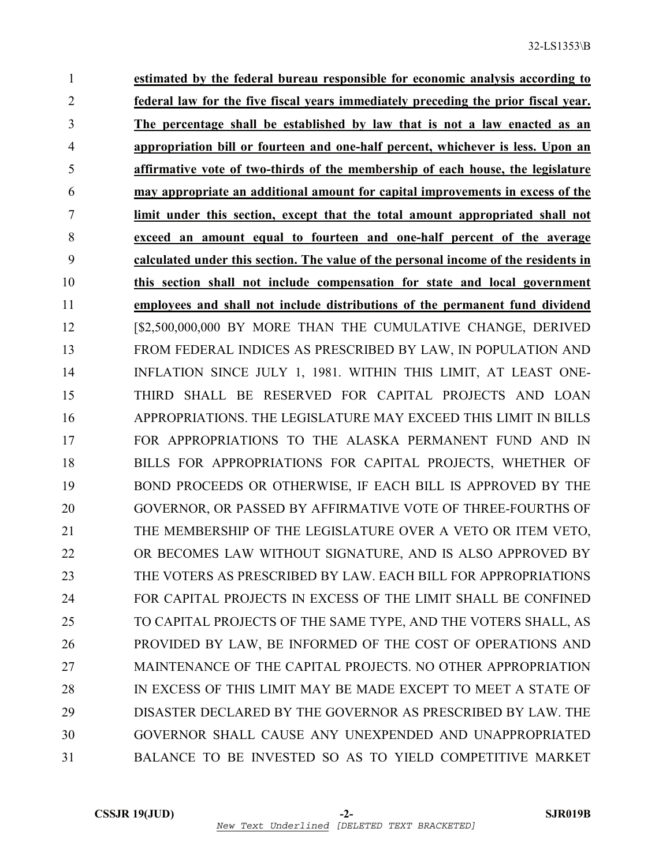1 **estimated by the federal bureau responsible for economic analysis according to**  2 **federal law for the five fiscal years immediately preceding the prior fiscal year.**  3 **The percentage shall be established by law that is not a law enacted as an**  4 **appropriation bill or fourteen and one-half percent, whichever is less. Upon an**  5 **affirmative vote of two-thirds of the membership of each house, the legislature**  6 **may appropriate an additional amount for capital improvements in excess of the**  7 **limit under this section, except that the total amount appropriated shall not**  8 **exceed an amount equal to fourteen and one-half percent of the average**  9 **calculated under this section. The value of the personal income of the residents in**  10 **this section shall not include compensation for state and local government**  11 **employees and shall not include distributions of the permanent fund dividend** 12 [\$2,500,000,000 BY MORE THAN THE CUMULATIVE CHANGE, DERIVED 13 FROM FEDERAL INDICES AS PRESCRIBED BY LAW, IN POPULATION AND 14 INFLATION SINCE JULY 1, 1981. WITHIN THIS LIMIT, AT LEAST ONE-15 THIRD SHALL BE RESERVED FOR CAPITAL PROJECTS AND LOAN 16 APPROPRIATIONS. THE LEGISLATURE MAY EXCEED THIS LIMIT IN BILLS 17 FOR APPROPRIATIONS TO THE ALASKA PERMANENT FUND AND IN 18 BILLS FOR APPROPRIATIONS FOR CAPITAL PROJECTS, WHETHER OF 19 BOND PROCEEDS OR OTHERWISE, IF EACH BILL IS APPROVED BY THE 20 GOVERNOR, OR PASSED BY AFFIRMATIVE VOTE OF THREE-FOURTHS OF 21 THE MEMBERSHIP OF THE LEGISLATURE OVER A VETO OR ITEM VETO, 22 OR BECOMES LAW WITHOUT SIGNATURE, AND IS ALSO APPROVED BY 23 THE VOTERS AS PRESCRIBED BY LAW. EACH BILL FOR APPROPRIATIONS 24 FOR CAPITAL PROJECTS IN EXCESS OF THE LIMIT SHALL BE CONFINED 25 TO CAPITAL PROJECTS OF THE SAME TYPE, AND THE VOTERS SHALL, AS 26 PROVIDED BY LAW, BE INFORMED OF THE COST OF OPERATIONS AND 27 MAINTENANCE OF THE CAPITAL PROJECTS. NO OTHER APPROPRIATION 28 IN EXCESS OF THIS LIMIT MAY BE MADE EXCEPT TO MEET A STATE OF 29 DISASTER DECLARED BY THE GOVERNOR AS PRESCRIBED BY LAW. THE 30 GOVERNOR SHALL CAUSE ANY UNEXPENDED AND UNAPPROPRIATED 31 BALANCE TO BE INVESTED SO AS TO YIELD COMPETITIVE MARKET